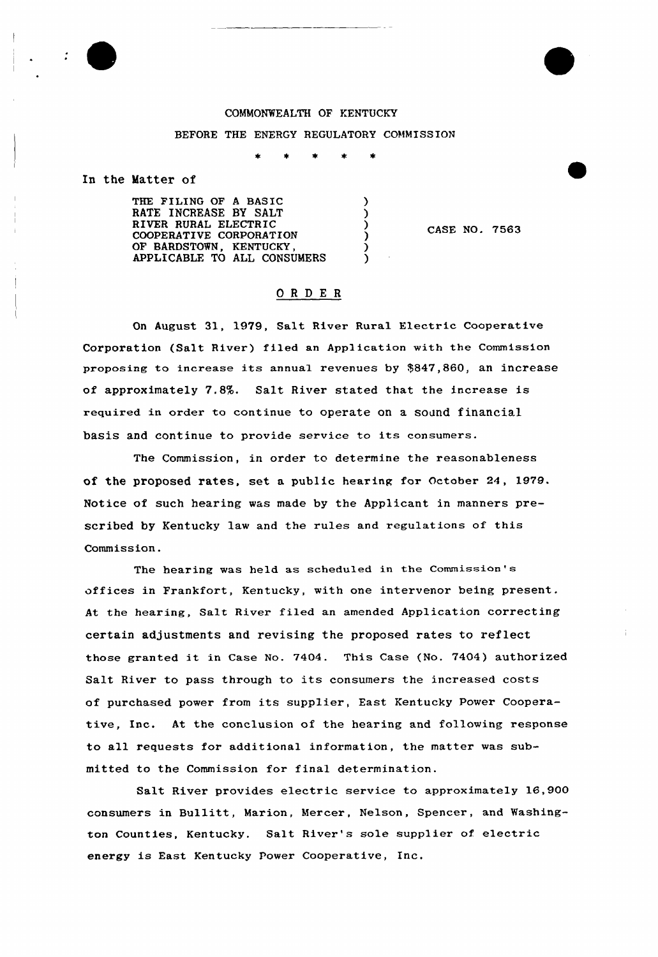# COMMONWEALTH OF KENTUCKY

#### BEFORE THE ENERGY REGULATORY COMMISSION

 $\lambda$  $\mathcal{E}$  $\mathcal{E}$  $\lambda$  $\lambda$  $\lambda$ 

In the Matter of

THE FILING OF <sup>A</sup> BASIC RATE INCREASE BY SALT RIVER RURAL ELECTRIC COOPERATIVE CORPORATIO OF BARDSTOWN, KENTUCKY, APPLICABLE TO ALL CONSUMERS

CASE NO. 7563

## ORDER

On August 31, 1979, Salt River Rural Electric Cooperative Corporation (Salt River) filed an Application with the Commission proposing to increase its annual revenues by \$847,860, an increase of approximately 7.8%. Salt River stated that the increase is required in order to continue to operate on a Sound financial basis and continue to provide service to its consumers.

The Commission, in order to determine the reasonableness of the proposed rates, set a public hearing for October 24, 1979. Notice of such hearing was made by the Applicant in manners prescribed by Kentucky law and the rules and regulations of this Commission.

The hearing was held as scheduled in the Commission's offices in Frankfort, Kentucky, with one intervenor being present. At the hearing, Salt River filed an amended Application correcting certain adjustments and revising the proposed rates to reflect those granted it in Case No. 7404. This Case (No. 7404) authorized Salt River to pass through to its consumers the increased costs of purchased power from its supplier, East Kentucky Power Cooperative, Inc. At the conclusion of the hearing and following response to all requests for additional information, the matter was submitted to the Commission for final determination.

Salt River provides electric service to approximately 16,900 consumers in Bullitt, Marion, Mercer, Nelson, Spencer, and Washington Counties, Kentucky. Salt River's sole supplier of electric energy is East Kentucky Power Cooperative, Inc.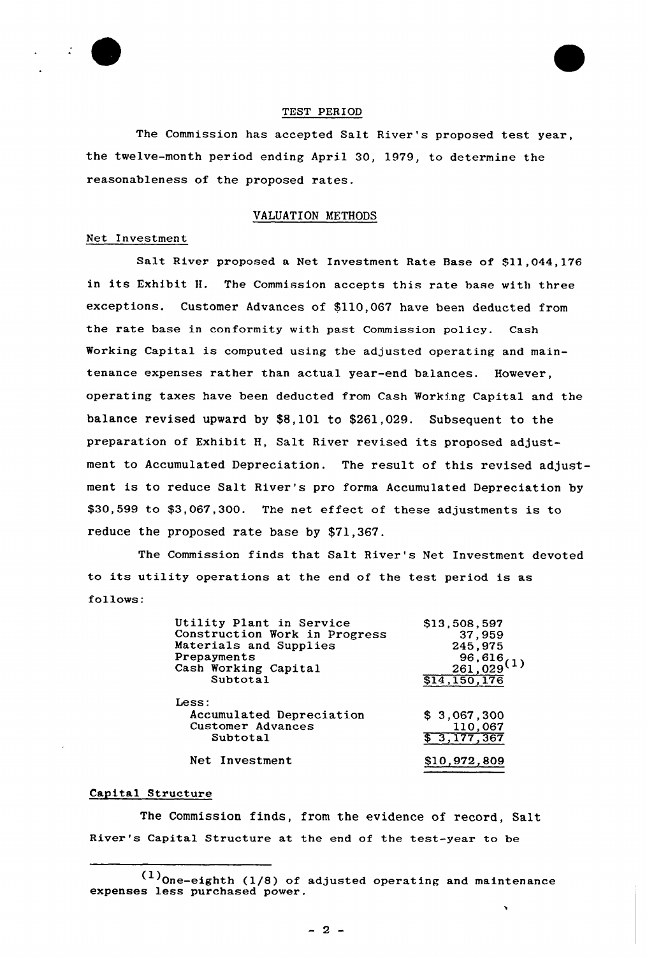



The Commission has accepted Salt River's proposed test year, the twelve-month period ending April 30, 1979, to determine the reasonableness of the proposed rates.

# VALUATION METHODS

# Net Investment

Salt River proposed a Net Investment Rate Base of \$11,044,176 in its Exhibit H. The Commission accepts this rate base with three exceptions. Customer Advances of \$110,067 have been deducted from the rate base in conformity with past Commission policy. Cash Working Capital is computed using the adjusted operating and maintenance expenses rather than actual year-end balances. However, operating taxes have been deducted from Cash Working Capital and the balance revised upward by \$8,101 to \$261,029. Subsequent to the preparation of Exhibit H, Salt River revised its proposed adjustment to Accumulated Depreciation. The result of this revised adjustment is to reduce Salt River's pro forma Accumulated Depreciation by \$30,599 to \$3,067,300. The net effect of these adjustments is to reduce the proposed rate base by \$71,367.

The Commission finds that Salt River's Net Investment devoted to its utility operations at the end of the test period is as follows:

| Utility Plant in Service      | \$13,508,597                |
|-------------------------------|-----------------------------|
| Construction Work in Progress | 37,959                      |
| Materials and Supplies        | 245,975                     |
| Prepayments                   |                             |
| Cash Working Capital          | $\frac{96,616}{261,029}(1)$ |
| Subtotal                      | \$14,150,176                |
| Less:                         |                             |
| Accumulated Depreciation      | \$3,067,300                 |
| Customer Advances             | 110,067                     |
| Subtotal                      | \$3,177,367                 |
| Net Investment                | \$10,972,809                |

### Capita1 Structure

The Commission finds, from the evidence of record, Salt River's Capital Structure at the end of the test-year to be

 $(1)$ One-eighth (1/8) of adjusted operating and maintenance expenses less purchased power.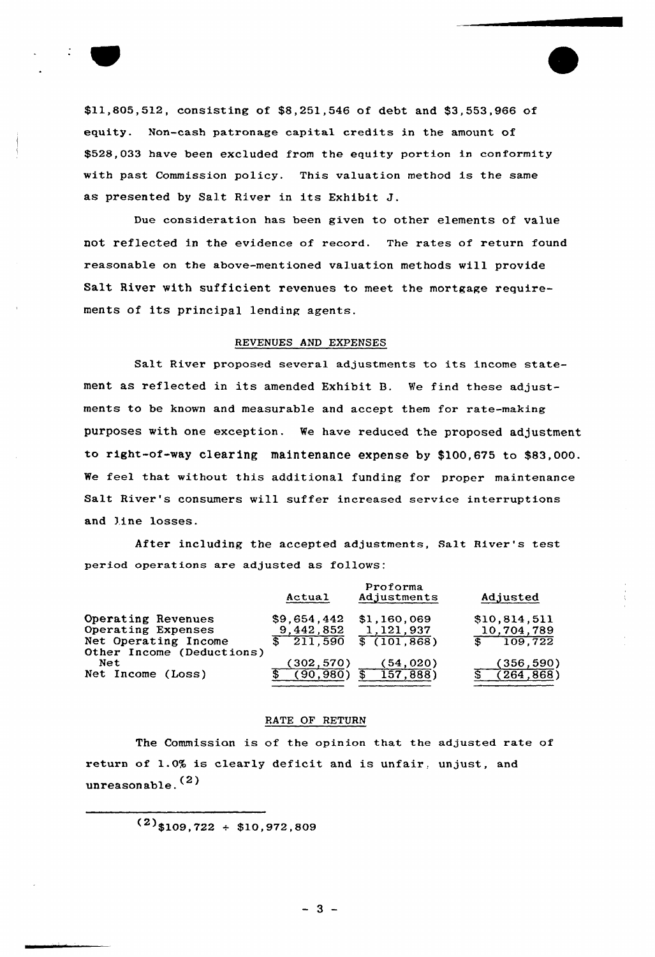\$11,805,512, consisting of \$8,251,546 of debt and \$3,553,966 of equity. Non-cash patronage capital credits in the amount of \$528,033 have been excluded from the equity portion in conformity with past Commission policy. This valuation method is the same as presented by Salt River in its Exhibit J.

Due consideration has been given to other elements of value not reflected in the evidence of record. The rates of return found reasonable on the above-mentioned valuation methods will provide Salt River with sufficient revenues to meet the mortgage requirements of its principal lending agents.

## REVENUES AND EXPENSES

Salt River proposed several adjustments to its income statement as reflected in its amended Exhibit B. We find these adjustments to be known and measurable and accept them for rate-making purposes with one exception. We have reduced the proposed adjustment to right-of-way clearing maintenance expense by \$100,675 to \$83,000. We feel that without this additional funding for proper maintenance Salt River's consumers will suffer increased service interruptions and line losses.

After including the accepted adjustments, Salt River's test period operations are adjusted as follows:

|                                                   | Actual             | Proforma<br>Adjustments | Adjusted         |
|---------------------------------------------------|--------------------|-------------------------|------------------|
| Operating Revenues                                | \$9,654,442        | \$1,160,069             | \$10,814,511     |
| Operating Expenses                                | 9,442,852          | 1,121,937               | 10,704,789       |
| Net Operating Income<br>Other Income (Deductions) | $\sqrt{$}$ 211,590 | \$(101, 868)            | 109,722          |
| Net                                               | (302, 570)         | (54, 020)               | (356, 590)       |
| Net Income (Loss)                                 | (90,980)           | 157,888)                | $\sqrt{264,868}$ |

### RATE OF RETURN

The Commission is of the opinion that the adjusted rate of return of 1.0% is clearly deficit and is unfair, unjust, and unreasonable. (2)

 $(2)$ \$109,722 + \$10,972,809

 $-3 -$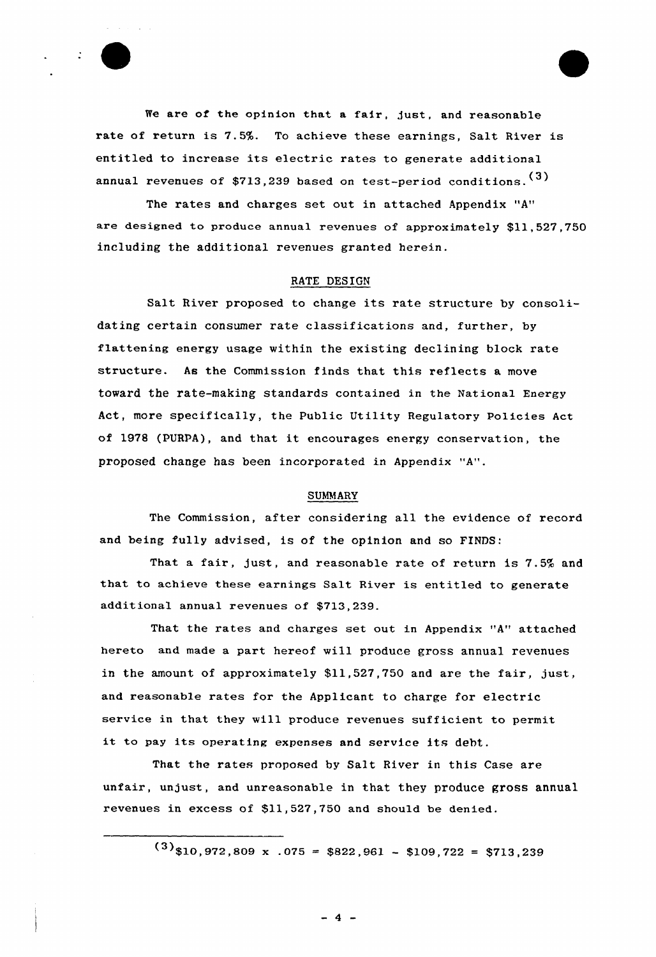

Ne are of the opinion that a fair, just, and reasonable rate of return is 7.5%. To achieve these earnings, Salt River is entitled to increase its electric rates to generate additional annual revenues of \$713,239 based on test-period conditions. (3)

The rates and charges set out in attached Appendix "A" are designed to produce annual revenues of approximately \$11,527,750 including the additional revenues granted herein.

### RATE DESIGN

Salt River proposed to change its rate structure by consolidating certain consumer rate classifications and, further, by flattening energy usage within the existing declining block rate structure. As the Commission finds that this reflects a move toward the rate-making standards contained in the Nationa1 Energy Act, more specifically, the Public Utility Regulatory Policies Act of 1978 (PURPA), and that it encourages energy conservation, the proposed change has been incorporated in Appendix "A".

## SUMMARY

The Commission, after considering all the evidence of record and being fully advised, is of the opinion and so FINDS:

That a fair, just, and reasonable rate of return is 7.5% and that to achieve these earnings Salt River is entitled to generate additional annual revenues of \$713,239.

That the rates and charges set out in Appendix "A" attached hereto and made a part hereof will produce gross annual revenues in the amount of approximately \$11,527,750 and are the fair, just, and reasonable rates for the Applicant to charge for electric service in that they will produce revenues sufficient to permit it to pay its operating expenses and service its debt.

That the rates proposed by Salt River in this Case are unfair, unjust, and unreasonable in that they produce gross annual revenues in excess of \$11,527,750 and should be denied.

 $(3)$ \$10,972,809 x .075 = \$822,961 - \$109,722 = \$713,239

 $-4$   $-$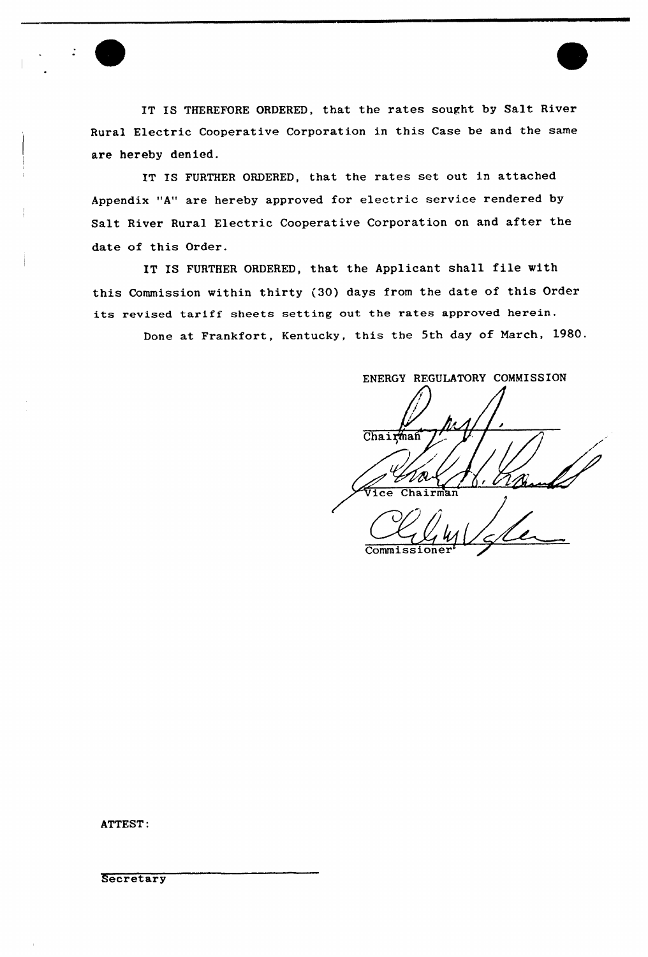

IT IS THEREFORE ORDERED, that the rates sought by Salt River Rural Electric Cooperative Corporation in this Case be and the same are hereby denied.

IT IS FURTHER ORDERED, that the rates set out in attached Appendix "A" are hereby approved for electric service rendered by Salt River Rural Electric Cooperative Corporation on and after the date of this Order.

IT IS FURTHER ORDERED, that the Applicant shall file with this Commission within thirty <30) days from the date of this Order its revised tariff sheets setting out the rates approved herein.

Done at Frankfort, Kentucky, this the 5th day of March, 1980.

ENERGY REGULATORY COMMISSION Chairman  $\mathbf{r}$  $\sqrt[4]{1}$ ce  $Chairma$ Commiss

ATTEST:

**Secretary**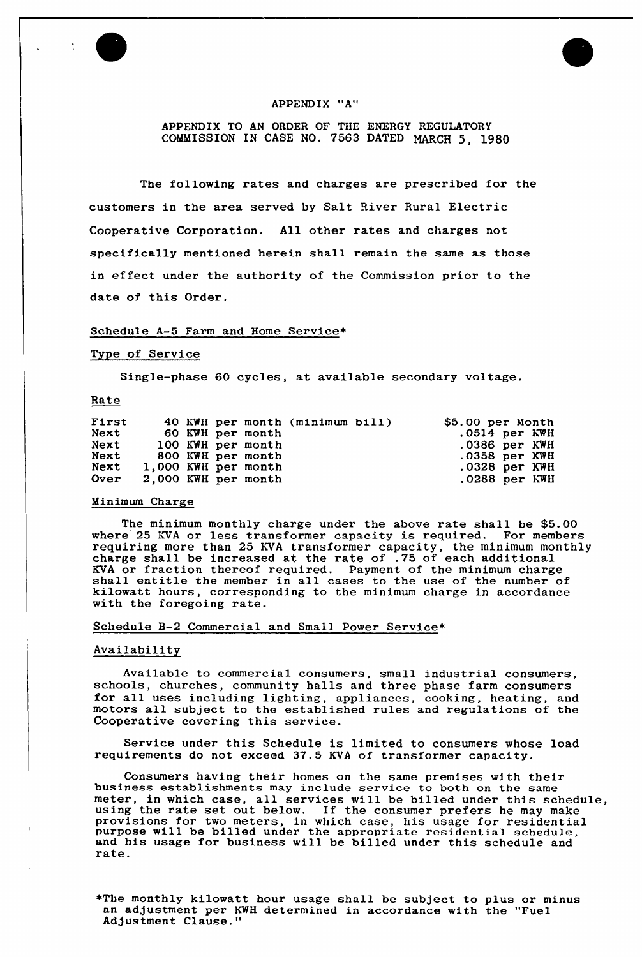

### APPENDIX "A"

# APPENDIX TO AN ORDER OF THE ENERGY REGULATORY COMMISSION IN CASE NO. 7563 DATED MARCH 5, 1980

The following rates and charges are prescribed for the customers in the area served by Salt River Rural Electric Cooperative Corporation. All other rates and charges not specifically mentioned herein shall remain the same as those in effect under the authority of the Commission prior to the date of this Order.

## Schedule A-5 Farm and Home Service\*

### Type of Service

Single-phase 60 cycles, at available secondary voltage.

### Rate

| First       |                     |  |                   | 40 KWH per month (minimum bill) | \$5.00 per Month  |  |
|-------------|---------------------|--|-------------------|---------------------------------|-------------------|--|
| Next        |                     |  | 60 KWH per month  |                                 | $.0514$ per $KWH$ |  |
| Next        |                     |  | 100 KWH per month |                                 | $.0386$ per KWH   |  |
| Next        |                     |  | 800 KWH per month |                                 | .0358 per KWH     |  |
| Next        | 1,000 KWH per month |  |                   |                                 | $.0328$ per KWH   |  |
| <b>Over</b> | 2,000 KWH per month |  |                   |                                 | $.0288$ per KWH   |  |
|             |                     |  |                   |                                 |                   |  |

### Minimum Charge

The minimum monthly charge under the above rate shall be \$5.00 where 25 KVA or less transformer capacity is required. For members requiring more than 25 KVA transformer capacity, the minimum monthl charge shall be increased at the rate of .75 of each additional KVA or fraction thereof required. Payment of the minimum charge shall entitle the member in all cases to the use of the number of kilowatt hours, corresponding to the minimum charge in accordance with the foregoing rate.

### Schedule B-2 Commercial and Small Power Service»

#### Availability

Available to commercial consumers, small industrial consumers, schools, churches, community halls and three phase farm consumers for all uses including lighting, appliances, cooking, heating, and motors all subject to the established rules and regulations of the Cooperative covering this service.

Service under this Schedule is limited to consumers whose load requirements do not exceed 37.5 KVA of transformer capacity.

Consumers having their homes on the same premises with their business establishments may include service to both on the same meter, in which case, all services will be billed under this schedule meter, in which case, all services will be billed under this scheen using the rate set out below. If the consumer prefers he may make provisions for two meters, in which case, his usage for residential provisions for two meters, in which case, his usage for residential schedule, and his usage for business will be billed under this schedule and rate.

+The monthly kilowatt hour usage shall be subject to plus or minus an adjustment per KWH determined in accordance with the "Fuel Adjustment Clause."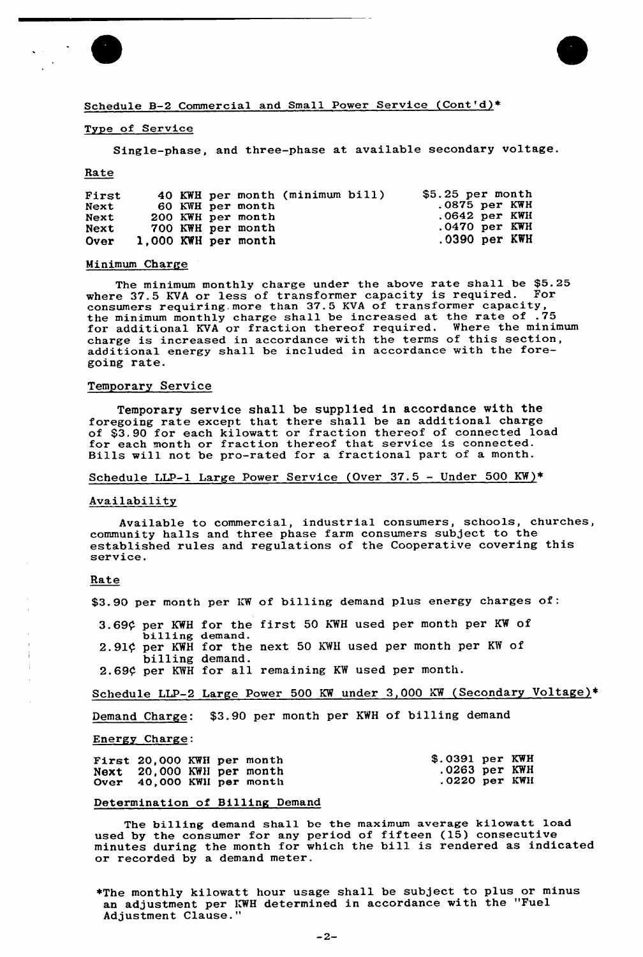

Schedule B-2 Commercial and Small Power Service (Cont'd)\*

#### Type of Service

Single-phase, and three-phase at available secondary voltage.

Rate

| First<br>Next<br>Next<br>Next<br><b>Over</b> | 60 KWH per month<br>200 KWH per month<br>700 KWH per month<br>1,000 KWH per month |  | 40 KWH per month (minimum bill) |  | $$5.25$ per month<br>$.0875$ per KWH<br>$.0642$ per KWH<br>$.0470$ per KWH<br>$.0390$ per KWH |
|----------------------------------------------|-----------------------------------------------------------------------------------|--|---------------------------------|--|-----------------------------------------------------------------------------------------------|
|----------------------------------------------|-----------------------------------------------------------------------------------|--|---------------------------------|--|-----------------------------------------------------------------------------------------------|

### Minimum Charge

The minimum monthly charge under the above rate shall be \$5.25<br>ie 37.5 KVA or less of transformer capacity is required. For where 37.5 KVA or less of transformer capacity is required. consumers requiring. more than 37.5 KVA of transformer capacity, the minimum monthly charge shall be increased at the rate of .75<br>for additional KVA or fraction thereof required. Where the minimum for additional KVA or fraction thereof required. charge is increased in accordance with the terms of this section, additional energy shall be included in accordance with the foregoing rate.

### Temporary Service

Temporary service shall be supplied in accordance with the foregoing rate except that there shall be an additional charge of \$3.90 for each kilowatt or fraction thereof of connected load<br>for each month or fraction thereof that service is connected. Bills will not be pro-rated for a fractional part of a month.

## Schedule LLP-1 Large Power Service (Over 37.5 — Under 500 KW)+

#### Availability

Available to commercial, industrial consumers, schools, churches, community halls and three phase farm consumers subject to the established rules and regulations of the Cooperative covering this service.

#### Rate

\$3.90 per month per KW of billing demand plus energy charges of:

3.69¢ per KWH for the first 50 KWH used per month per KW of billing demand. 2.91¢ per KWH for the next 50 KWH used per month per KW of billing demand.

2.69¢ per KWH for all remaining KW used per month.

Schedule LLP-2 Large Power 500 KW under 3,000 KW (Secondary Voltage)<

Demand Charge: \$3.90 per month per KWH of billing demand

### Energy Charge:

| First 20,000 KWH per month                             |  | \$.0391 per KWH                |  |
|--------------------------------------------------------|--|--------------------------------|--|
| Next 20,000 KWH per month<br>Over 40,000 KWH per month |  | .0263 per KWH<br>.0220 per KWH |  |

## Determination of Billing Demand

The billing demand shall be the maximum average kilowatt load used by the consumer for any period of fifteen (15) consecutive used by the consumer for any period of fifteen (15) consecutive<br>minutes during the month for which the bill is rendered as indicate or recorded by a demand meter.

\*The monthly kilowatt hour usage shall be subject to plus or minus an adjustment per KWH determined in accordance with the "Fuel Adjustment Clause."